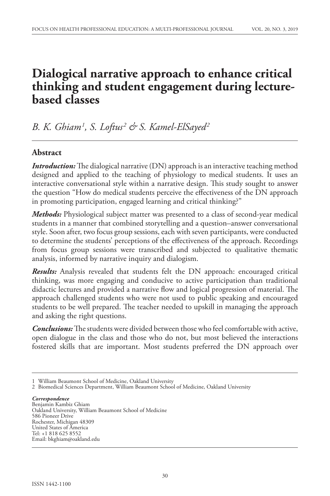# **Dialogical narrative approach to enhance critical thinking and student engagement during lecturebased classes**

*B. K. Ghiam1 , S. Loftus2 & S. Kamel-ElSayed2*

# **Abstract**

*Introduction:* The dialogical narrative (DN) approach is an interactive teaching method designed and applied to the teaching of physiology to medical students. It uses an interactive conversational style within a narrative design. This study sought to answer the question "How do medical students perceive the effectiveness of the DN approach in promoting participation, engaged learning and critical thinking?"

*Methods:* Physiological subject matter was presented to a class of second-year medical students in a manner that combined storytelling and a question–answer conversational style. Soon after, two focus group sessions, each with seven participants, were conducted to determine the students' perceptions of the effectiveness of the approach. Recordings from focus group sessions were transcribed and subjected to qualitative thematic analysis, informed by narrative inquiry and dialogism.

*Results:* Analysis revealed that students felt the DN approach: encouraged critical thinking, was more engaging and conducive to active participation than traditional didactic lectures and provided a narrative flow and logical progression of material. The approach challenged students who were not used to public speaking and encouraged students to be well prepared. The teacher needed to upskill in managing the approach and asking the right questions.

*Conclusions:* The students were divided between those who feel comfortable with active, open dialogue in the class and those who do not, but most believed the interactions fostered skills that are important. Most students preferred the DN approach over

#### *Correspondence*

Benjamin Kambiz Ghiam Oakland University, William Beaumont School of Medicine 586 Pioneer Drive Rochester, Michigan 48309 United States of America Tel: +1 818 625 8552 Email: bkghiam@oakland.edu

<sup>1</sup> William Beaumont School of Medicine, Oakland University

<sup>2</sup> Biomedical Sciences Department, William Beaumont School of Medicine, Oakland University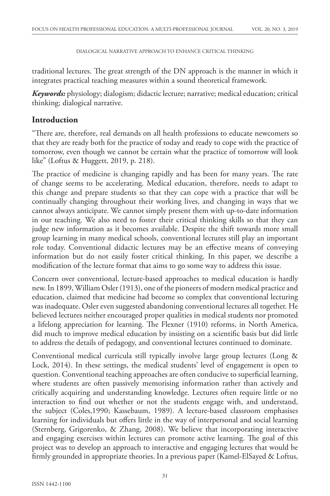traditional lectures. The great strength of the DN approach is the manner in which it integrates practical teaching measures within a sound theoretical framework.

*Keywords:* physiology; dialogism; didactic lecture; narrative; medical education; critical thinking; dialogical narrative.

# **Introduction**

"There are, therefore, real demands on all health professions to educate newcomers so that they are ready both for the practice of today and ready to cope with the practice of tomorrow, even though we cannot be certain what the practice of tomorrow will look like" (Loftus & Huggett, 2019, p. 218).

The practice of medicine is changing rapidly and has been for many years. The rate of change seems to be accelerating. Medical education, therefore, needs to adapt to this change and prepare students so that they can cope with a practice that will be continually changing throughout their working lives, and changing in ways that we cannot always anticipate. We cannot simply present them with up-to-date information in our teaching. We also need to foster their critical thinking skills so that they can judge new information as it becomes available. Despite the shift towards more small group learning in many medical schools, conventional lectures still play an important role today. Conventional didactic lectures may be an effective means of conveying information but do not easily foster critical thinking. In this paper, we describe a modification of the lecture format that aims to go some way to address this issue.

Concern over conventional, lecture-based approaches to medical education is hardly new. In 1899, William Osler (1913), one of the pioneers of modern medical practice and education, claimed that medicine had become so complex that conventional lecturing was inadequate. Osler even suggested abandoning conventional lectures all together. He believed lectures neither encouraged proper qualities in medical students nor promoted a lifelong appreciation for learning. The Flexner (1910) reforms, in North America, did much to improve medical education by insisting on a scientific basis but did little to address the details of pedagogy, and conventional lectures continued to dominate.

Conventional medical curricula still typically involve large group lectures (Long & Lock, 2014). In these settings, the medical students' level of engagement is open to question. Conventional teaching approaches are often conducive to superficial learning, where students are often passively memorising information rather than actively and critically acquiring and understanding knowledge. Lectures often require little or no interaction to find out whether or not the students engage with, and understand, the subject (Coles,1990; Kassebaum, 1989). A lecture-based classroom emphasises learning for individuals but offers little in the way of interpersonal and social learning (Sternberg, Grigorenko, & Zhang, 2008). We believe that incorporating interactive and engaging exercises within lectures can promote active learning. The goal of this project was to develop an approach to interactive and engaging lectures that would be firmly grounded in appropriate theories. In a previous paper (Kamel-ElSayed & Loftus,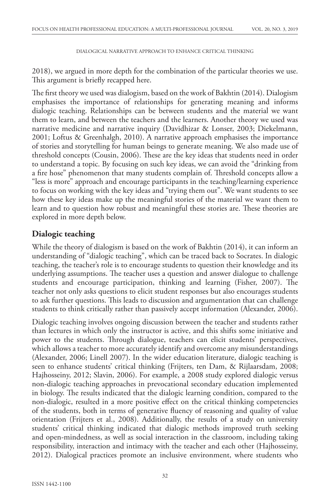2018), we argued in more depth for the combination of the particular theories we use. This argument is briefly recapped here.

The first theory we used was dialogism, based on the work of Bakhtin (2014). Dialogism emphasises the importance of relationships for generating meaning and informs dialogic teaching. Relationships can be between students and the material we want them to learn, and between the teachers and the learners. Another theory we used was narrative medicine and narrative inquiry (Davidhizar & Lonser, 2003; Diekelmann, 2001; Loftus & Greenhalgh, 2010). A narrative approach emphasises the importance of stories and storytelling for human beings to generate meaning. We also made use of threshold concepts (Cousin, 2006). These are the key ideas that students need in order to understand a topic. By focusing on such key ideas, we can avoid the "drinking from a fire hose" phenomenon that many students complain of. Threshold concepts allow a "less is more" approach and encourage participants in the teaching/learning experience to focus on working with the key ideas and "trying them out". We want students to see how these key ideas make up the meaningful stories of the material we want them to learn and to question how robust and meaningful these stories are. These theories are explored in more depth below.

# **Dialogic teaching**

While the theory of dialogism is based on the work of Bakhtin (2014), it can inform an understanding of "dialogic teaching", which can be traced back to Socrates. In dialogic teaching, the teacher's role is to encourage students to question their knowledge and its underlying assumptions. The teacher uses a question and answer dialogue to challenge students and encourage participation, thinking and learning (Fisher, 2007). The teacher not only asks questions to elicit student responses but also encourages students to ask further questions. This leads to discussion and argumentation that can challenge students to think critically rather than passively accept information (Alexander, 2006).

Dialogic teaching involves ongoing discussion between the teacher and students rather than lectures in which only the instructor is active, and this shifts some initiative and power to the students. Through dialogue, teachers can elicit students' perspectives, which allows a teacher to more accurately identify and overcome any misunderstandings (Alexander, 2006; Linell 2007). In the wider education literature, dialogic teaching is seen to enhance students' critical thinking (Frijters, ten Dam, & Rijlaarsdam, 2008; Hajhosseiny, 2012; Slavin, 2006). For example, a 2008 study explored dialogic versus non-dialogic teaching approaches in prevocational secondary education implemented in biology. The results indicated that the dialogic learning condition, compared to the non-dialogic, resulted in a more positive effect on the critical thinking competencies of the students, both in terms of generative fluency of reasoning and quality of value orientation (Frijters et al., 2008). Additionally, the results of a study on university students' critical thinking indicated that dialogic methods improved truth seeking and open-mindedness, as well as social interaction in the classroom, including taking responsibility, interaction and intimacy with the teacher and each other (Hajhosseiny, 2012). Dialogical practices promote an inclusive environment, where students who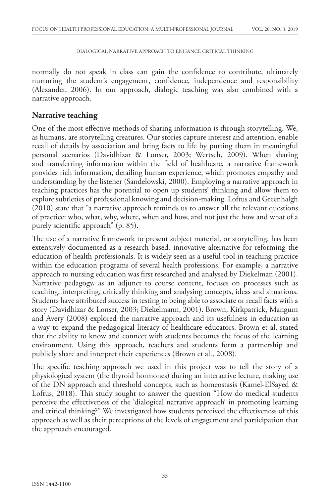normally do not speak in class can gain the confidence to contribute, ultimately nurturing the student's engagement, confidence, independence and responsibility (Alexander, 2006). In our approach, dialogic teaching was also combined with a narrative approach.

# **Narrative teaching**

One of the most effective methods of sharing information is through storytelling. We, as humans, are storytelling creatures. Our stories capture interest and attention, enable recall of details by association and bring facts to life by putting them in meaningful personal scenarios (Davidhizar & Lonser, 2003; Wertsch, 2009). When sharing and transferring information within the field of healthcare, a narrative framework provides rich information, detailing human experience, which promotes empathy and understanding by the listener (Sandelowski, 2000). Employing a narrative approach in teaching practices has the potential to open up students' thinking and allow them to explore subtleties of professional knowing and decision-making. Loftus and Greenhalgh (2010) state that "a narrative approach reminds us to answer all the relevant questions of practice: who, what, why, where, when and how, and not just the how and what of a purely scientific approach" (p. 85).

The use of a narrative framework to present subject material, or storytelling, has been extensively documented as a research-based, innovative alternative for reforming the education of health professionals. It is widely seen as a useful tool in teaching practice within the education programs of several health professions. For example, a narrative approach to nursing education was first researched and analysed by Diekelman (2001). Narrative pedagogy, as an adjunct to course content, focuses on processes such as teaching, interpreting, critically thinking and analysing concepts, ideas and situations. Students have attributed success in testing to being able to associate or recall facts with a story (Davidhizar & Lonser, 2003; Diekelmann, 2001). Brown, Kirkpatrick, Mangum and Avery (2008) explored the narrative approach and its usefulness in education as a way to expand the pedagogical literacy of healthcare educators. Brown et al. stated that the ability to know and connect with students becomes the focus of the learning environment. Using this approach, teachers and students form a partnership and publicly share and interpret their experiences (Brown et al., 2008).

The specific teaching approach we used in this project was to tell the story of a physiological system (the thyroid hormones) during an interactive lecture, making use of the DN approach and threshold concepts, such as homeostasis (Kamel-ElSayed & Loftus, 2018). This study sought to answer the question "How do medical students perceive the effectiveness of the 'dialogical narrative approach' in promoting learning and critical thinking?" We investigated how students perceived the effectiveness of this approach as well as their perceptions of the levels of engagement and participation that the approach encouraged.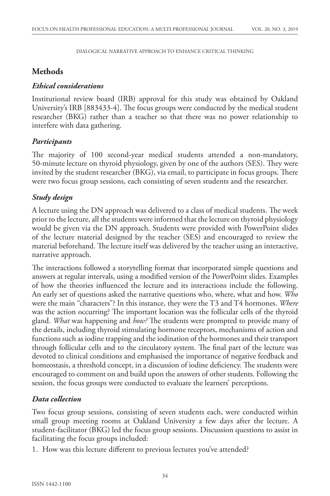# **Methods**

## *Ethical considerations*

Institutional review board (IRB) approval for this study was obtained by Oakland University's IRB [883433-4]. The focus groups were conducted by the medical student researcher (BKG) rather than a teacher so that there was no power relationship to interfere with data gathering.

# *Participants*

The majority of 100 second-year medical students attended a non-mandatory, 50-minute lecture on thyroid physiology, given by one of the authors (SES). They were invited by the student researcher (BKG), via email, to participate in focus groups. There were two focus group sessions, each consisting of seven students and the researcher.

# *Study design*

A lecture using the DN approach was delivered to a class of medical students. The week prior to the lecture, all the students were informed that the lecture on thyroid physiology would be given via the DN approach. Students were provided with PowerPoint slides of the lecture material designed by the teacher (SES) and encouraged to review the material beforehand. The lecture itself was delivered by the teacher using an interactive, narrative approach.

The interactions followed a storytelling format that incorporated simple questions and answers at regular intervals, using a modified version of the PowerPoint slides. Examples of how the theories influenced the lecture and its interactions include the following. An early set of questions asked the narrative questions who, where, what and how. *Who* were the main "characters"? In this instance, they were the T3 and T4 hormones. *Where* was the action occurring? The important location was the follicular cells of the thyroid gland. *What* was happening and *how?* The students were prompted to provide many of the details, including thyroid stimulating hormone receptors, mechanisms of action and functions such as iodine trapping and the iodination of the hormones and their transport through follicular cells and to the circulatory system. The final part of the lecture was devoted to clinical conditions and emphasised the importance of negative feedback and homeostasis, a threshold concept, in a discussion of iodine deficiency. The students were encouraged to comment on and build upon the answers of other students. Following the session, the focus groups were conducted to evaluate the learners' perceptions.

# *Data collection*

Two focus group sessions, consisting of seven students each, were conducted within small group meeting rooms at Oakland University a few days after the lecture. A student-facilitator (BKG) led the focus group sessions. Discussion questions to assist in facilitating the focus groups included:

1. How was this lecture different to previous lectures you've attended?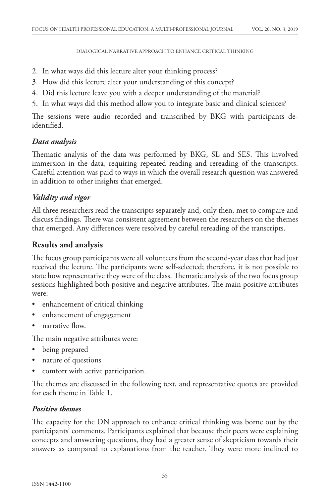- 2. In what ways did this lecture alter your thinking process?
- 3. How did this lecture alter your understanding of this concept?
- 4. Did this lecture leave you with a deeper understanding of the material?
- 5. In what ways did this method allow you to integrate basic and clinical sciences?

The sessions were audio recorded and transcribed by BKG with participants deidentified.

# *Data analysis*

Thematic analysis of the data was performed by BKG, SL and SES. This involved immersion in the data, requiring repeated reading and rereading of the transcripts. Careful attention was paid to ways in which the overall research question was answered in addition to other insights that emerged.

# *Validity and rigor*

All three researchers read the transcripts separately and, only then, met to compare and discuss findings. There was consistent agreement between the researchers on the themes that emerged. Any differences were resolved by careful rereading of the transcripts.

# **Results and analysis**

The focus group participants were all volunteers from the second-year class that had just received the lecture. The participants were self-selected; therefore, it is not possible to state how representative they were of the class. Thematic analysis of the two focus group sessions highlighted both positive and negative attributes. The main positive attributes were:

- enhancement of critical thinking
- enhancement of engagement
- narrative flow.

The main negative attributes were:

- being prepared
- nature of questions
- comfort with active participation.

The themes are discussed in the following text, and representative quotes are provided for each theme in Table 1.

# *Positive themes*

The capacity for the DN approach to enhance critical thinking was borne out by the participants' comments. Participants explained that because their peers were explaining concepts and answering questions, they had a greater sense of skepticism towards their answers as compared to explanations from the teacher. They were more inclined to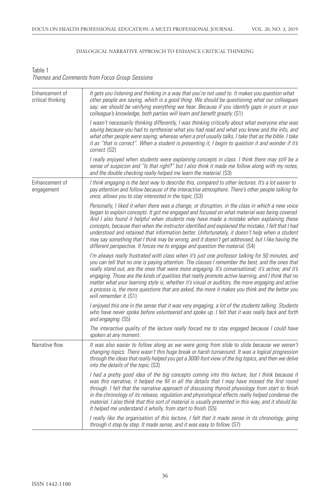### Table 1 *Themes and Comments from Focus Group Sessions*

| Enhancement of<br>critical thinking | It gets you listening and thinking in a way that you're not used to. It makes you question what<br>other people are saying, which is a good thing. We should be questioning what our colleagues<br>say; we should be verifying everything we hear. Because if you identify gaps in yours or your<br>colleague's knowledge, both parties will learn and benefit greatly. (S1)                                                                                                                                                                                                                                                                                                             |
|-------------------------------------|------------------------------------------------------------------------------------------------------------------------------------------------------------------------------------------------------------------------------------------------------------------------------------------------------------------------------------------------------------------------------------------------------------------------------------------------------------------------------------------------------------------------------------------------------------------------------------------------------------------------------------------------------------------------------------------|
|                                     | I wasn't necessarily thinking differently, I was thinking critically about what everyone else was<br>saying because you had to synthesise what you had read and what you knew and the info, and<br>what other people were saying; whereas when a prof usually talks, I take that as the bible. I take<br>it as "that is correct". When a student is presenting it, I begin to question it and wonder if it's<br>correct. (S2)                                                                                                                                                                                                                                                            |
|                                     | I really enjoyed when students were explaining concepts in class. I think there may still be a<br>sense of suspicion and "Is that right?" but I also think it made me follow along with my notes,<br>and the double checking really helped me learn the material. (S3)                                                                                                                                                                                                                                                                                                                                                                                                                   |
| Enhancement of<br>engagement        | I think engaging is the best way to describe this, compared to other lectures. It's a lot easier to<br>pay attention and follow because of the interactive atmosphere. There's other people talking for<br>once, allows you to stay interested in the topic. (S3)                                                                                                                                                                                                                                                                                                                                                                                                                        |
|                                     | Personally, I liked it when there was a change, or disruption, in the class in which a new voice<br>began to explain concepts. It got me engaged and focused on what material was being covered.<br>And I also found it helpful when students may have made a mistake when explaining these<br>concepts, because then when the instructor identified and explained the mistake, I felt that I had<br>understood and retained that information better. Unfortunately, it doesn't help when a student<br>may say something that I think may be wrong, and it doesn't get addressed, but I like having the<br>different perspective. It forces me to engage and question the material. (S4) |
|                                     | I'm always really frustrated with class when it's just one professor talking for 50 minutes, and<br>you can tell that no one is paying attention. The classes I remember the best, and the ones that<br>really stand out, are the ones that were more engaging. It's conversational; it's active; and it's<br>engaging. Those are the kinds of qualities that really promote active learning, and I think that no<br>matter what your learning style is, whether it's visual or auditory, the more engaging and active<br>a process is, the more questions that are asked, the more it makes you think and the better you<br>will remember it. (S1)                                      |
|                                     | I enjoyed this one in the sense that it was very engaging, a lot of the students talking. Students<br>who have never spoke before volunteered and spoke up. I felt that it was really back and forth<br>and engaging. (S5)                                                                                                                                                                                                                                                                                                                                                                                                                                                               |
|                                     | The interactive quality of the lecture really forced me to stay engaged because I could have<br>spoken at any moment.                                                                                                                                                                                                                                                                                                                                                                                                                                                                                                                                                                    |
| Narrative flow                      | It was also easier to follow along as we were going from slide to slide because we weren't<br>changing topics. There wasn't this huge break or harsh turnaround. It was a logical progression<br>through the ideas that really helped you get a 3000-foot view of the big topics, and then we delve<br>into the details of the topic. (S3)                                                                                                                                                                                                                                                                                                                                               |
|                                     | I had a pretty good idea of the big concepts coming into this lecture, but I think because it<br>was this narrative, it helped me fill in all the details that I may have missed the first round<br>through. I felt that the narrative approach of discussing thyroid physiology from start to finish<br>in the chronology of its release, regulation and physiological effects really helped condense the<br>material. I also think that this sort of material is usually presented in this way, and it should be.<br>It helped me understand it wholly, from start to finish. (S5)                                                                                                     |
|                                     | I really like the organisation of this lecture, I felt that it made sense in its chronology, going<br>through it step by step. It made sense, and it was easy to follow. (S7)                                                                                                                                                                                                                                                                                                                                                                                                                                                                                                            |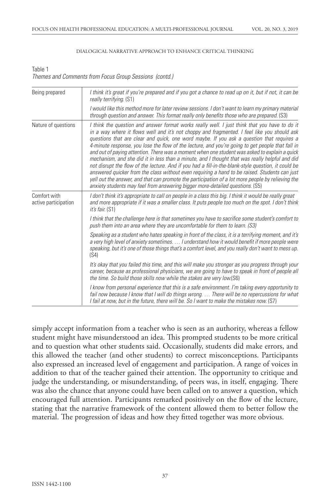Table 1 *Themes and Comments from Focus Group Sessions (contd.)*

| Being prepared                       | I think it's great if you're prepared and if you got a chance to read up on it, but if not, it can be<br>really terrifying. (S1)                                                                                                                                                                                                                                                                                                                                                                                                                                                                                                                                                                                                                                                                                                                                                                                                                                                               |
|--------------------------------------|------------------------------------------------------------------------------------------------------------------------------------------------------------------------------------------------------------------------------------------------------------------------------------------------------------------------------------------------------------------------------------------------------------------------------------------------------------------------------------------------------------------------------------------------------------------------------------------------------------------------------------------------------------------------------------------------------------------------------------------------------------------------------------------------------------------------------------------------------------------------------------------------------------------------------------------------------------------------------------------------|
|                                      | I would like this method more for later review sessions. I don't want to learn my primary material<br>through question and answer. This format really only benefits those who are prepared. (S3)                                                                                                                                                                                                                                                                                                                                                                                                                                                                                                                                                                                                                                                                                                                                                                                               |
| Nature of questions                  | I think the question and answer format works really well. I just think that you have to do it<br>in a way where it flows well and it's not choppy and fragmented. I feel like you should ask<br>questions that are clear and quick, one word maybe. If you ask a question that requires a<br>4-minute response, you lose the flow of the lecture, and you're going to get people that fall in<br>and out of paying attention. There was a moment when one student was asked to explain a quick<br>mechanism, and she did it in less than a minute, and I thought that was really helpful and did<br>not disrupt the flow of the lecture. And if you had a fill-in-the-blank-style question, it could be<br>answered quicker from the class without even requiring a hand to be raised. Students can just<br>yell out the answer, and that can promote the participation of a lot more people by relieving the<br>anxiety students may feel from answering bigger more-detailed questions. (S5) |
| Comfort with<br>active participation | I don't think it's appropriate to call on people in a class this big. I think it would be really great<br>and more appropriate if it was a smaller class. It puts people too much on the spot. I don't think<br><i>it's fair.</i> (S1)                                                                                                                                                                                                                                                                                                                                                                                                                                                                                                                                                                                                                                                                                                                                                         |
|                                      | I think that the challenge here is that sometimes you have to sacrifice some student's comfort to<br>push them into an area where they are uncomfortable for them to learn. (S3)                                                                                                                                                                                                                                                                                                                                                                                                                                                                                                                                                                                                                                                                                                                                                                                                               |
|                                      | Speaking as a student who hates speaking in front of the class, it is a terrifying moment, and it's<br>a very high level of anxiety sometimes.  I understand how it would benefit if more people were<br>speaking, but it's one of those things that's a comfort level, and you really don't want to mess up.<br>(S4)                                                                                                                                                                                                                                                                                                                                                                                                                                                                                                                                                                                                                                                                          |
|                                      | It's okay that you failed this time, and this will make you stronger as you progress through your<br>career, because as professional physicians, we are going to have to speak in front of people all<br>the time. So build those skills now while the stakes are very low. (S6)                                                                                                                                                                                                                                                                                                                                                                                                                                                                                                                                                                                                                                                                                                               |
|                                      | I know from personal experience that this is a safe environment. I'm taking every opportunity to<br>fail now because I know that I will do things wrong.  There will be no repercussions for what<br>I fail at now, but in the future, there will be. So I want to make the mistakes now. (S7)                                                                                                                                                                                                                                                                                                                                                                                                                                                                                                                                                                                                                                                                                                 |

simply accept information from a teacher who is seen as an authority, whereas a fellow student might have misunderstood an idea. This prompted students to be more critical and to question what other students said. Occasionally, students did make errors, and this allowed the teacher (and other students) to correct misconceptions. Participants also expressed an increased level of engagement and participation. A range of voices in addition to that of the teacher gained their attention. The opportunity to critique and judge the understanding, or misunderstanding, of peers was, in itself, engaging. There was also the chance that anyone could have been called on to answer a question, which encouraged full attention. Participants remarked positively on the flow of the lecture, stating that the narrative framework of the content allowed them to better follow the material. The progression of ideas and how they fitted together was more obvious.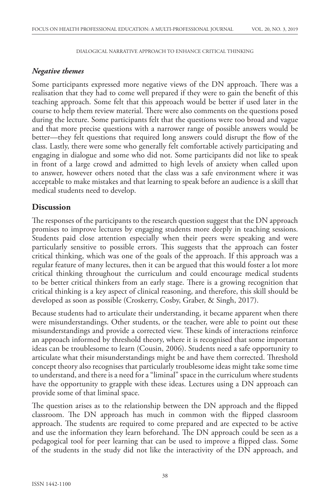### *Negative themes*

Some participants expressed more negative views of the DN approach. There was a realisation that they had to come well prepared if they were to gain the benefit of this teaching approach. Some felt that this approach would be better if used later in the course to help them review material. There were also comments on the questions posed during the lecture. Some participants felt that the questions were too broad and vague and that more precise questions with a narrower range of possible answers would be better—they felt questions that required long answers could disrupt the flow of the class. Lastly, there were some who generally felt comfortable actively participating and engaging in dialogue and some who did not. Some participants did not like to speak in front of a large crowd and admitted to high levels of anxiety when called upon to answer, however others noted that the class was a safe environment where it was acceptable to make mistakes and that learning to speak before an audience is a skill that medical students need to develop.

## **Discussion**

The responses of the participants to the research question suggest that the DN approach promises to improve lectures by engaging students more deeply in teaching sessions. Students paid close attention especially when their peers were speaking and were particularly sensitive to possible errors. This suggests that the approach can foster critical thinking, which was one of the goals of the approach. If this approach was a regular feature of many lectures, then it can be argued that this would foster a lot more critical thinking throughout the curriculum and could encourage medical students to be better critical thinkers from an early stage. There is a growing recognition that critical thinking is a key aspect of clinical reasoning, and therefore, this skill should be developed as soon as possible (Croskerry, Cosby, Graber, & Singh, 2017).

Because students had to articulate their understanding, it became apparent when there were misunderstandings. Other students, or the teacher, were able to point out these misunderstandings and provide a corrected view. These kinds of interactions reinforce an approach informed by threshold theory, where it is recognised that some important ideas can be troublesome to learn (Cousin, 2006). Students need a safe opportunity to articulate what their misunderstandings might be and have them corrected. Threshold concept theory also recognises that particularly troublesome ideas might take some time to understand, and there is a need for a "liminal" space in the curriculum where students have the opportunity to grapple with these ideas. Lectures using a DN approach can provide some of that liminal space.

The question arises as to the relationship between the DN approach and the flipped classroom. The DN approach has much in common with the flipped classroom approach. The students are required to come prepared and are expected to be active and use the information they learn beforehand. The DN approach could be seen as a pedagogical tool for peer learning that can be used to improve a flipped class. Some of the students in the study did not like the interactivity of the DN approach, and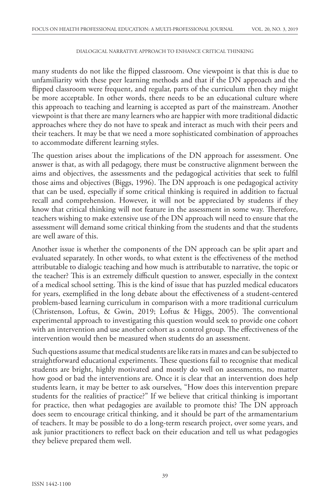many students do not like the flipped classroom. One viewpoint is that this is due to unfamiliarity with these peer learning methods and that if the DN approach and the flipped classroom were frequent, and regular, parts of the curriculum then they might be more acceptable. In other words, there needs to be an educational culture where this approach to teaching and learning is accepted as part of the mainstream. Another viewpoint is that there are many learners who are happier with more traditional didactic approaches where they do not have to speak and interact as much with their peers and their teachers. It may be that we need a more sophisticated combination of approaches to accommodate different learning styles.

The question arises about the implications of the DN approach for assessment. One answer is that, as with all pedagogy, there must be constructive alignment between the aims and objectives, the assessments and the pedagogical activities that seek to fulfil those aims and objectives (Biggs, 1996). The DN approach is one pedagogical activity that can be used, especially if some critical thinking is required in addition to factual recall and comprehension. However, it will not be appreciated by students if they know that critical thinking will not feature in the assessment in some way. Therefore, teachers wishing to make extensive use of the DN approach will need to ensure that the assessment will demand some critical thinking from the students and that the students are well aware of this.

Another issue is whether the components of the DN approach can be split apart and evaluated separately. In other words, to what extent is the effectiveness of the method attributable to dialogic teaching and how much is attributable to narrative, the topic or the teacher? This is an extremely difficult question to answer, especially in the context of a medical school setting. This is the kind of issue that has puzzled medical educators for years, exemplified in the long debate about the effectiveness of a student-centered problem-based learning curriculum in comparison with a more traditional curriculum (Christenson, Loftus, & Gwin, 2019; Loftus & Higgs, 2005). The conventional experimental approach to investigating this question would seek to provide one cohort with an intervention and use another cohort as a control group. The effectiveness of the intervention would then be measured when students do an assessment.

Such questions assume that medical students are like rats in mazes and can be subjected to straightforward educational experiments. These questions fail to recognise that medical students are bright, highly motivated and mostly do well on assessments, no matter how good or bad the interventions are. Once it is clear that an intervention does help students learn, it may be better to ask ourselves, "How does this intervention prepare students for the realities of practice?" If we believe that critical thinking is important for practice, then what pedagogies are available to promote this? The DN approach does seem to encourage critical thinking, and it should be part of the armamentarium of teachers. It may be possible to do a long-term research project, over some years, and ask junior practitioners to reflect back on their education and tell us what pedagogies they believe prepared them well.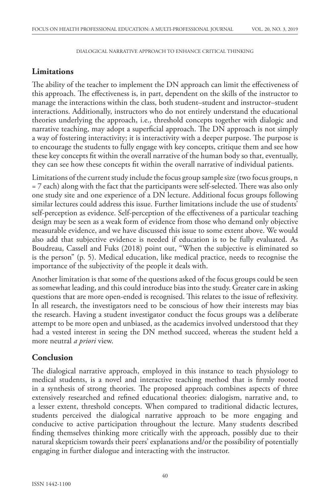# **Limitations**

The ability of the teacher to implement the DN approach can limit the effectiveness of this approach. The effectiveness is, in part, dependent on the skills of the instructor to manage the interactions within the class, both student–student and instructor–student interactions. Additionally, instructors who do not entirely understand the educational theories underlying the approach, i.e., threshold concepts together with dialogic and narrative teaching, may adopt a superficial approach. The DN approach is not simply a way of fostering interactivity; it is interactivity with a deeper purpose. The purpose is to encourage the students to fully engage with key concepts, critique them and see how these key concepts fit within the overall narrative of the human body so that, eventually, they can see how these concepts fit within the overall narrative of individual patients.

Limitations of the current study include the focus group sample size (two focus groups, n = 7 each) along with the fact that the participants were self-selected. There was also only one study site and one experience of a DN lecture. Additional focus groups following similar lectures could address this issue. Further limitations include the use of students' self-perception as evidence. Self-perception of the effectiveness of a particular teaching design may be seen as a weak form of evidence from those who demand only objective measurable evidence, and we have discussed this issue to some extent above. We would also add that subjective evidence is needed if education is to be fully evaluated. As Boudreau, Cassell and Fuks (2018) point out, "When the subjective is eliminated so is the person" (p. 5). Medical education, like medical practice, needs to recognise the importance of the subjectivity of the people it deals with.

Another limitation is that some of the questions asked of the focus groups could be seen as somewhat leading, and this could introduce bias into the study. Greater care in asking questions that are more open-ended is recognised. This relates to the issue of reflexivity. In all research, the investigators need to be conscious of how their interests may bias the research. Having a student investigator conduct the focus groups was a deliberate attempt to be more open and unbiased, as the academics involved understood that they had a vested interest in seeing the DN method succeed, whereas the student held a more neutral *a priori* view.

# **Conclusion**

The dialogical narrative approach, employed in this instance to teach physiology to medical students, is a novel and interactive teaching method that is firmly rooted in a synthesis of strong theories. The proposed approach combines aspects of three extensively researched and refined educational theories: dialogism, narrative and, to a lesser extent, threshold concepts. When compared to traditional didactic lectures, students perceived the dialogical narrative approach to be more engaging and conducive to active participation throughout the lecture. Many students described finding themselves thinking more critically with the approach, possibly due to their natural skepticism towards their peers' explanations and/or the possibility of potentially engaging in further dialogue and interacting with the instructor.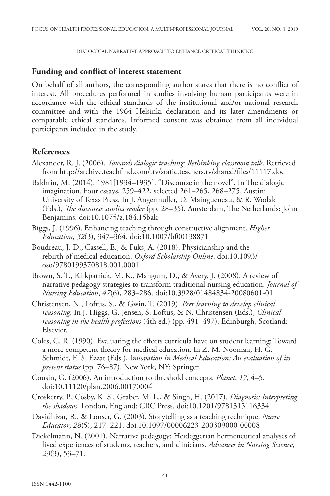## **Funding and conflict of interest statement**

On behalf of all authors, the corresponding author states that there is no conflict of interest. All procedures performed in studies involving human participants were in accordance with the ethical standards of the institutional and/or national research committee and with the 1964 Helsinki declaration and its later amendments or comparable ethical standards. Informed consent was obtained from all individual participants included in the study.

# **References**

- Alexander, R. J. (2006). *Towards dialogic teaching: Rethinking classroom talk*. Retrieved from http://archive.teachfind.com/ttv/static.teachers.tv/shared/files/11117.doc
- Bakhtin, M. (2014). 1981[1934–1935]. "Discourse in the novel". In The dialogic imagination. Four essays, 259–422, selected 261–265, 268–275. Austin: University of Texas Press. In J. Angermuller, D. Maingueneau, & R. Wodak (Eds.), *The discourse studies reader* (pp. 28–35). Amsterdam, The Netherlands: John Benjamins. doi:10.1075/z.184.15bak
- Biggs, J. (1996). Enhancing teaching through constructive alignment. *Higher Education*, *32*(3), 347–364. doi:10.1007/bf00138871
- Boudreau, J. D., Cassell, E., & Fuks, A. (2018). Physicianship and the rebirth of medical education. *Oxford Scholarship Online*. doi:10.1093/ oso/9780199370818.001.0001
- Brown, S. T., Kirkpatrick, M. K., Mangum, D., & Avery, J. (2008). A review of narrative pedagogy strategies to transform traditional nursing education. *Journal of Nursing Education*, *47*(6), 283–286. doi:10.3928/01484834-20080601-01
- Christensen, N., Loftus, S., & Gwin, T. (2019). *Peer learning to develop clinical reasoning*. In J. Higgs, G. Jensen, S. Loftus, & N. Christensen (Eds.), *Clinical reasoning in the health professions* (4th ed.) (pp. 491–497). Edinburgh, Scotland: Elsevier.
- Coles, C. R. (1990). Evaluating the effects curricula have on student learning: Toward a more competent theory for medical education. In Z. M. Nooman, H. G. Schmidt, E. S. Ezzat (Eds.), I*nnovation in Medical Education: An evaluation of its present status* (pp. 76–87). New York, NY: Springer.
- Cousin, G. (2006). An introduction to threshold concepts. *Planet*, *17*, 4–5. doi:10.11120/plan.2006.00170004
- Croskerry, P., Cosby, K. S., Graber, M. L., & Singh, H. (2017). *Diagnosis: Interpreting the shadows*. London, England: CRC Press. doi:10.1201/9781315116334
- Davidhizar, R., & Lonser, G. (2003). Storytelling as a teaching technique. *Nurse Educator*, *28*(5), 217–221. doi:10.1097/00006223-200309000-00008
- Diekelmann, N. (2001). Narrative pedagogy: Heideggerian hermeneutical analyses of lived experiences of students, teachers, and clinicians. *Advances in Nursing Science*, *23*(3), 53–71.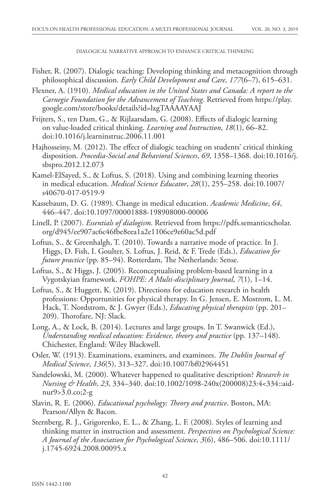- Fisher, R. (2007). Dialogic teaching: Developing thinking and metacognition through philosophical discussion. *Early Child Development and Care*, *177*(6–7), 615–631.
- Flexner, A. (1910). *Medical education in the United States and Canada: A report to the Carnegie Foundation for the Advancement of Teaching*. Retrieved from https://play. google.com/store/books/details?id=lxgTAAAAYAAJ
- Frijters, S., ten Dam, G., & Rijlaarsdam, G. (2008). Effects of dialogic learning on value-loaded critical thinking. *Learning and Instruction*, *18*(1), 66–82. doi:10.1016/j.learninstruc.2006.11.001
- Hajhosseiny, M. (2012). The effect of dialogic teaching on students' critical thinking disposition. *Procedia-Social and Behavioral Sciences*, *69*, 1358–1368. doi:10.1016/j. sbspro.2012.12.073
- Kamel-ElSayed, S., & Loftus, S. (2018). Using and combining learning theories in medical education. *Medical Science Educator*, *28*(1), 255–258. doi:10.1007/ s40670-017-0519-9
- Kassebaum, D. G. (1989). Change in medical education. *Academic Medicine*, *64*, 446–447. doi:10.1097/00001888-198908000-00006
- Linell, P. (2007). *Essentials of dialogism*. Retrieved from https://pdfs.semanticscholar. org/d945/ee907ac6c46fbe8eea1a2e1106ce9e60ac5d.pdf
- Loftus, S., & Greenhalgh, T. (2010). Towards a narrative mode of practice. In J. Higgs, D. Fish, I. Goulter, S. Loftus, J. Reid, & F. Trede (Eds.), *Education for future practice* (pp. 85–94). Rotterdam, The Netherlands: Sense.
- Loftus, S., & Higgs, J. (2005). Reconceptualising problem-based learning in a Vygotskyian framework. *FOHPE: A Multi-disciplinary Journal*, *7*(1), 1–14.
- Loftus, S., & Huggett, K. (2019). Directions for education research in health professions: Opportunities for physical therapy. In G. Jensen, E. Mostrom, L. M. Hack, T. Nordstrom, & J. Gwyer (Eds.), *Educating physical therapists* (pp. 201– 209). Thorofare, NJ: Slack.
- Long, A., & Lock, B. (2014). Lectures and large groups. In T. Swanwick (Ed.), *Understanding medical education: Evidence, theory and practice* (pp. 137–148). Chichester, England: Wiley Blackwell.
- Osler, W. (1913). Examinations, examiners, and examinees. *The Dublin Journal of Medical Science*, *136*(5), 313–327. doi:10.1007/bf02964451
- Sandelowski, M. (2000). Whatever happened to qualitative description? *Research in Nursing & Health*, *23*, 334–340. doi:10.1002/1098-240x(200008)23:4<334::aidnur9>3.0.co;2-g
- Slavin, R. E. (2006). *Educational psychology: Theory and practice*. Boston, MA: Pearson/Allyn & Bacon.
- Sternberg, R. J., Grigorenko, E. L., & Zhang, L. F. (2008). Styles of learning and thinking matter in instruction and assessment. *Perspectives on Psychological Science: A Journal of the Association for Psychological Science*, *3*(6), 486–506. doi:10.1111/ j.1745-6924.2008.00095.x